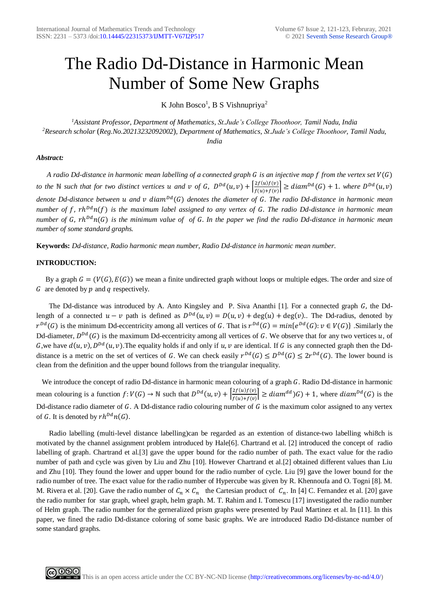# The Radio Dd-Distance in Harmonic Mean Number of Some New Graphs

K John Bosco<sup>1</sup>, B S Vishnupriya<sup>2</sup>

*<sup>1</sup>Assistant Professor, Department of Mathematics, St.Jude's College Thoothoor, Tamil Nadu, India <sup>2</sup>Research scholar* (*Reg.No.20213232092002*)*, Department of Mathematics, St.Jude's College Thoothoor, Tamil Nadu, India*

# *Abstract:*

*A radio Dd-distance in harmonic mean labelling of a connected graph G is an injective map f from the vertex set*  $V(G)$ *to the* N *such that for two distinct vertices u and <i>v* of **G**,  $D^{Dd}(u, v) + \frac{[2f(u)f(v)]}{f(u)g(u)}$  $\left|\frac{Zf(u)f(v)}{f(u)+f(v)}\right| \geq diam^{Dd}(G) + 1$ . where  $D^{Dd}(u,v)$ *denote Dd-distance between u and v diam<sup>pd</sup>(G) denotes the diameter of G. The radio Dd-distance in harmonic mean number of f, rh*<sup>Dd</sup>n(f) is the maximum label assigned to any vertex of G. The radio Dd-distance in harmonic mean *number of G, rh*<sup>Dd</sup>n(G) is the minimum value of of G. In the paper we find the radio Dd-distance in harmonic mean *number of some standard graphs.* 

**Keywords:** *Dd-distance, Radio harmonic mean number, Radio Dd-distance in harmonic mean number.*

# **INTRODUCTION:**

By a graph  $G = (V(G), E(G))$  we mean a finite undirected graph without loops or multiple edges. The order and size of  $G$  are denoted by  $p$  and  $q$  respectively.

The Dd-distance was introduced by A. Anto Kingsley and P. Siva Ananthi [1]. For a connected graph  $G$ , the Ddlength of a connected  $u - v$  path is defined as  $D^{Dd}(u, v) = D(u, v) + \deg(u) + \deg(v)$ . The Dd-radius, denoted by  $r^{Dd}(G)$  is the minimum Dd-eccentricity among all vertices of G. That is  $r^{Dd}(G) = min\{e^{Dd}(G): v \in V(G)\}\)$ . Similarly the Dd-diameter,  $D^{Dd}(G)$  is the maximum Dd-eccentricity among all vertices of G. We observe that for any two vertices u, of G, we have  $d(u, v)$ ,  $D^{Dd}(u, v)$ . The equality holds if and only if u, v are identical. If G is any connected graph then the Dddistance is a metric on the set of vertices of G. We can check easily  $r^{Dd}(G) \leq D^{Dd}(G) \leq 2r^{Dd}(G)$ . The lower bound is clean from the definition and the upper bound follows from the triangular inequality.

We introduce the concept of radio Dd-distance in harmonic mean colouring of a graph G. Radio Dd-distance in harmonic mean colouring is a function  $f: V(G) \to \mathbb{N}$  such that  $D^{Dd}(u, v) + \left[\frac{2f(u)f(v)}{g(u)+g(u)}\right]$  $\left| \frac{Z(u,y)(v)}{f(u)+f(v)} \right| \geq diam^{dd}(G) + 1$ , where  $diam^{Dd}(G)$  is the Dd-distance radio diameter of  $G$ . A Dd-distance radio colouring number of  $G$  is the maximum color assigned to any vertex of G. It is denoted by  $rh^{Dd}n(G)$ .

 Radio labelling (multi-level distance labelling)can be regarded as an extention of distance-two labelling whi8ch is motivated by the channel assignment problem introduced by Hale[6]. Chartrand et al. [2] introduced the concept of radio labelling of graph. Chartrand et al.[3] gave the upper bound for the radio number of path. The exact value for the radio number of path and cycle was given by Liu and Zhu [10]. However Chartrand et al.[2] obtained different values than Liu and Zhu [10]. They found the lower and upper bound for the radio number of cycle. Liu [9] gave the lower bound for the radio number of tree. The exact value for the radio number of Hypercube was given by R. Khennoufa and O. Togni [8]. M. M. Rivera et al. [20]. Gave the radio number of  $C_n \times C_n$  the Cartesian product of  $C_n$ . In [4] C. Fernandez et al. [20] gave the radio number for star graph, wheel graph, helm graph. M. T. Rahim and I. Tomescu [17] investigated the radio number of Helm graph. The radio number for the gerneralized prism graphs were presented by Paul Martinez et al. In [11]. In this paper, we fined the radio Dd-distance coloring of some basic graphs. We are introduced Radio Dd-distance number of some standard graphs.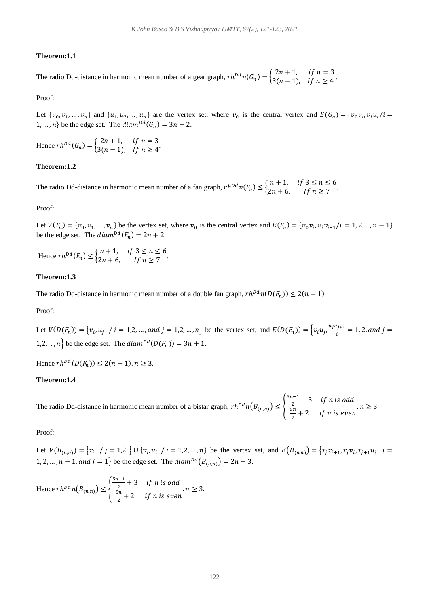#### **Theorem:1.1**

The radio Dd-distance in harmonic mean number of a gear graph,  $rh^{Dd}n(G_n) = \begin{cases} 2n + 1, & \text{if } n = 3 \\ 3(n-1) & \text{if } n > 4 \end{cases}$  $3(n-1)$ , If  $n \ge 4$ .

Proof:

Let  $\{v_0, v_1, ..., v_n\}$  and  $\{u_1, u_2, ..., u_n\}$  are the vertex set, where  $v_0$  is the central vertex and  $E(G_n) = \{v_0v_i, v_iu_i/i = 1\}$ 1, ..., *n*} be the edge set. The  $diam^{Dd}(G_n) = 3n + 2$ .

Hence  $rh^{Dd}(G_n) = \begin{cases} 2n + 1, & \text{if } n = 3 \\ 3(n - 1) & \text{if } n > 4 \end{cases}$  $3(n-1)$ , If  $n \ge 4$ .

#### **Theorem:1.2**

The radio Dd-distance in harmonic mean number of a fan graph,  $rh^{Dd}n(F_n) \leq \begin{cases} n+1, & \text{if } 3 \leq n \leq 6 \\ 2n+6 & \text{if } n > 7 \end{cases}$  $2n + 6$ , If  $n \ge 7$ 

#### Proof:

Let  $V(F_n) = \{v_0, v_1, ..., v_n\}$  be the vertex set, where  $v_0$  is the central vertex and  $E(F_n) = \{v_0v_i, v_i v_{i+1}/i = 1, 2 ..., n-1\}$ be the edge set. The  $diam^{Dd}(F_n) = 2n + 2$ .

Hence  $rh^{Dd}(F_n) \leq \begin{cases} n+1, & \text{if } 3 \leq n \leq 6 \\ 2n+6 & \text{if } n > 7 \end{cases}$  $2n + 6$ , If  $n \ge 7$ 

### **Theorem:1.3**

The radio Dd-distance in harmonic mean number of a double fan graph,  $rh^{Dd}n(D(F_n)) \leq 2(n-1)$ .

Proof:

Let  $V(D(F_n)) = \{v_i, u_j \mid i = 1, 2, ..., and j = 1, 2, ..., n\}$  be the vertex set, and  $E(D(F_n)) = \{v_iu_j, \frac{u_ju_{j+1}}{i}\}$  $\frac{x_{j+1}}{i}$  = 1, 2. and j = 1,2, .., *n*} be the edge set. The  $diam^{Dd}(D(F_n)) = 3n + 1$ ..

Hence  $rh^{Dd}(D(F_n)) \leq 2(n-1)$ .  $n \geq 3$ .

# **Theorem:1.4**

The radio Dd-distance in harmonic mean number of a bistar graph,  $rh^{Dd}n(B_{(n,n)}) \leq \left\{$  $5n-1$  $\frac{i-1}{2}+3$  if n is odd 5  $\frac{3n}{2}+2$  if n is even .  $n \geq 3$ .

### Proof:

Let  $V(B_{(n,n)}) = \{x_j \mid j = 1, 2, \} \cup \{v_i, u_i \mid i = 1, 2, ..., n\}$  be the vertex set, and  $E(B_{(n,n)}) = \{x_j x_{j+1}, x_j v_i, x_{j+1} u_i \mid i = 1, 2, ..., n\}$ 1, 2, ...,  $n-1$ . and  $j=1$ } be the edge set. The  $diam^{pd}(B_{(n,n)}) = 2n + 3$ .

Hence  $rh^{Dd} n(B_{(n,n)}) \leq \{$  $5n-1$  $\frac{i-1}{2}+3$  if n is odd  $5n$  $\frac{m}{2}+2$  if n is even .  $n \geq 3$ .